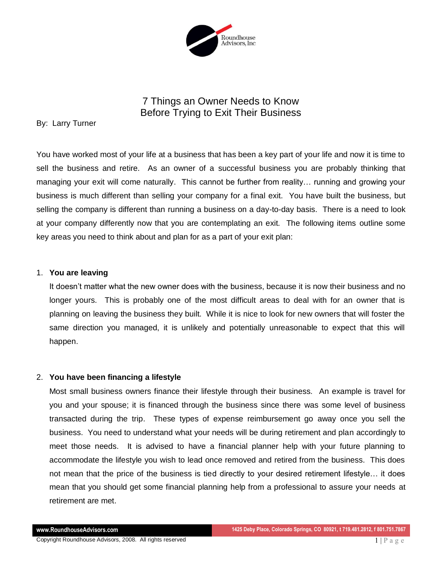

# 7 Things an Owner Needs to Know Before Trying to Exit Their Business

# By: Larry Turner

You have worked most of your life at a business that has been a key part of your life and now it is time to sell the business and retire. As an owner of a successful business you are probably thinking that managing your exit will come naturally. This cannot be further from reality… running and growing your business is much different than selling your company for a final exit. You have built the business, but selling the company is different than running a business on a day-to-day basis. There is a need to look at your company differently now that you are contemplating an exit. The following items outline some key areas you need to think about and plan for as a part of your exit plan:

## 1. **You are leaving**

It doesn't matter what the new owner does with the business, because it is now their business and no longer yours. This is probably one of the most difficult areas to deal with for an owner that is planning on leaving the business they built. While it is nice to look for new owners that will foster the same direction you managed, it is unlikely and potentially unreasonable to expect that this will happen.

## 2. **You have been financing a lifestyle**

Most small business owners finance their lifestyle through their business. An example is travel for you and your spouse; it is financed through the business since there was some level of business transacted during the trip. These types of expense reimbursement go away once you sell the business. You need to understand what your needs will be during retirement and plan accordingly to meet those needs. It is advised to have a financial planner help with your future planning to accommodate the lifestyle you wish to lead once removed and retired from the business. This does not mean that the price of the business is tied directly to your desired retirement lifestyle… it does mean that you should get some financial planning help from a professional to assure your needs at retirement are met.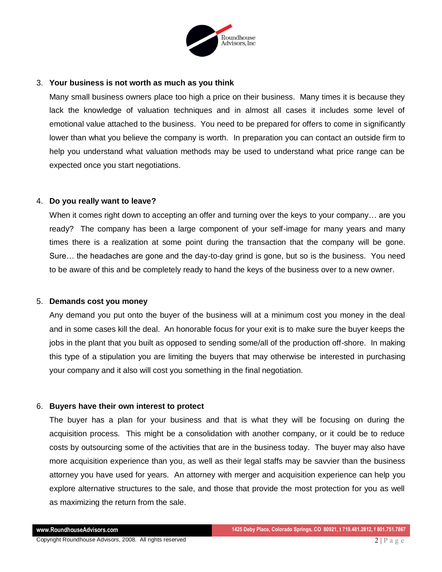

#### 3. **Your business is not worth as much as you think**

Many small business owners place too high a price on their business. Many times it is because they lack the knowledge of valuation techniques and in almost all cases it includes some level of emotional value attached to the business. You need to be prepared for offers to come in significantly lower than what you believe the company is worth. In preparation you can contact an outside firm to help you understand what valuation methods may be used to understand what price range can be expected once you start negotiations.

### 4. **Do you really want to leave?**

When it comes right down to accepting an offer and turning over the keys to your company... are you ready? The company has been a large component of your self-image for many years and many times there is a realization at some point during the transaction that the company will be gone. Sure… the headaches are gone and the day-to-day grind is gone, but so is the business. You need to be aware of this and be completely ready to hand the keys of the business over to a new owner.

#### 5. **Demands cost you money**

Any demand you put onto the buyer of the business will at a minimum cost you money in the deal and in some cases kill the deal. An honorable focus for your exit is to make sure the buyer keeps the jobs in the plant that you built as opposed to sending some/all of the production off-shore. In making this type of a stipulation you are limiting the buyers that may otherwise be interested in purchasing your company and it also will cost you something in the final negotiation.

#### 6. **Buyers have their own interest to protect**

The buyer has a plan for your business and that is what they will be focusing on during the acquisition process. This might be a consolidation with another company, or it could be to reduce costs by outsourcing some of the activities that are in the business today. The buyer may also have more acquisition experience than you, as well as their legal staffs may be savvier than the business attorney you have used for years. An attorney with merger and acquisition experience can help you explore alternative structures to the sale, and those that provide the most protection for you as well as maximizing the return from the sale.